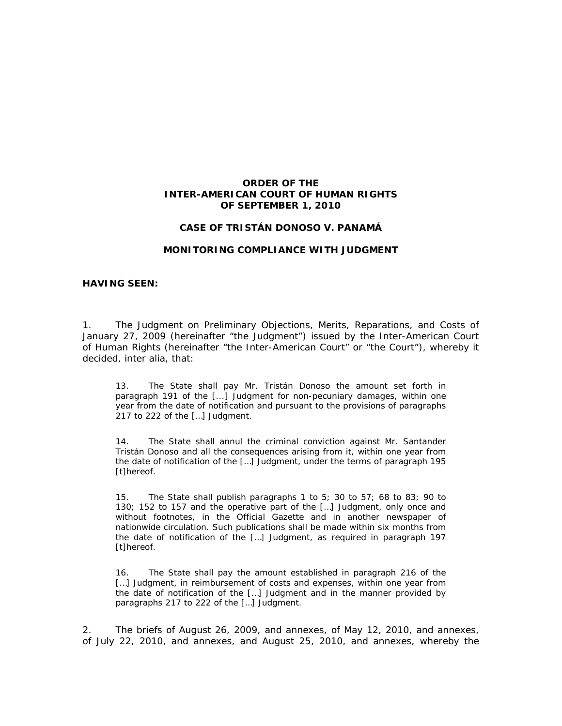## **ORDER OF THE INTER-AMERICAN COURT OF HUMAN RIGHTS OF SEPTEMBER 1, 2010**

## **CASE OF TRISTÁN DONOSO** *V.* **PANAMÁ**

### **MONITORING COMPLIANCE WITH JUDGMENT**

### **HAVING SEEN:**

1. The Judgment on Preliminary Objections, Merits, Reparations, and Costs of January 27, 2009 (hereinafter "the Judgment") issued by the Inter-American Court of Human Rights (hereinafter "the Inter-American Court" or "the Court"), whereby it decided, *inter alia*, that:

13. The State shall pay Mr. Tristán Donoso the amount set forth in paragraph 191 of the [...] Judgment for non-pecuniary damages, within one year from the date of notification and pursuant to the provisions of paragraphs 217 to 222 of the […] Judgment.

14. The State shall annul the criminal conviction against Mr. Santander Tristán Donoso and all the consequences arising from it, within one year from the date of notification of the […] Judgment, under the terms of paragraph 195 [t]hereof.

15. The State shall publish paragraphs 1 to 5; 30 to 57; 68 to 83; 90 to 130; 152 to 157 and the operative part of the […] Judgment, only once and without footnotes, in the Official Gazette and in another newspaper of nationwide circulation. Such publications shall be made within six months from the date of notification of the […] Judgment, as required in paragraph 197 [t]hereof.

16. The State shall pay the amount established in paragraph 216 of the [...] Judgment, in reimbursement of costs and expenses, within one year from the date of notification of the […] Judgment and in the manner provided by paragraphs 217 to 222 of the […] Judgment.

2. The briefs of August 26, 2009, and annexes, of May 12, 2010, and annexes, of July 22, 2010, and annexes, and August 25, 2010, and annexes, whereby the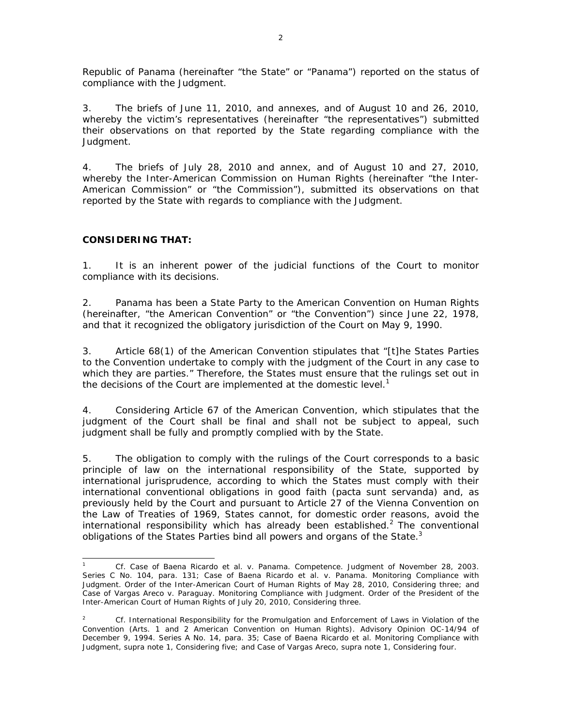Republic of Panama (hereinafter "the State" or "Panama") reported on the status of compliance with the Judgment.

3. The briefs of June 11, 2010, and annexes, and of August 10 and 26, 2010, whereby the victim's representatives (hereinafter "the representatives") submitted their observations on that reported by the State regarding compliance with the Judgment.

4. The briefs of July 28, 2010 and annex, and of August 10 and 27, 2010, whereby the Inter-American Commission on Human Rights (hereinafter "the Inter-American Commission" or "the Commission"), submitted its observations on that reported by the State with regards to compliance with the Judgment.

# **CONSIDERING THAT:**

1. It is an inherent power of the judicial functions of the Court to monitor compliance with its decisions.

2. Panama has been a State Party to the American Convention on Human Rights (hereinafter, "the American Convention" or "the Convention") since June 22, 1978, and that it recognized the obligatory jurisdiction of the Court on May 9, 1990.

3. Article 68(1) of the American Convention stipulates that "[t]he States Parties to the Convention undertake to comply with the judgment of the Court in any case to which they are parties." Therefore, the States must ensure that the rulings set out in the decisions of the Court are implemented at the domestic level.<sup>1</sup>

4. Considering Article 67 of the American Convention, which stipulates that the judgment of the Court shall be final and shall not be subject to appeal, such judgment shall be fully and promptly complied with by the State.

5. The obligation to comply with the rulings of the Court corresponds to a basic principle of law on the international responsibility of the State, supported by international jurisprudence, according to which the States must comply with their international conventional obligations in good faith *(pacta sunt servanda)* and, as previously held by the Court and pursuant to Article 27 of the Vienna Convention on the Law of Treaties of 1969, States cannot, for domestic order reasons, avoid the international responsibility which has already been established.<sup>2</sup> The conventional obligations of the States Parties bind all powers and organs of the State. $3$ 

 $\overline{\phantom{0}}$ 1 *Cf. Case of Baena Ricardo et al. v. Panama. Competence.* Judgment of November 28, 2003. Series C No. 104, para. 131; *Case of Baena Ricardo et al. v. Panama. Monitoring Compliance with Judgment.* Order of the Inter-American Court of Human Rights of May 28, 2010, Considering three; and *Case of Vargas Areco v. Paraguay. Monitoring Compliance with Judgment.* Order of the President of the Inter-American Court of Human Rights of July 20, 2010, Considering three.

<sup>2</sup> *Cf. International Responsibility for the Promulgation and Enforcement of Laws in Violation of the Convention* (Arts. 1 and 2 American Convention on Human Rights). Advisory Opinion OC-14/94 of December 9, 1994. Series A No. 14, para. 35; *Case of Baena Ricardo et al*. *Monitoring Compliance with Judgment*, *supra* note 1, Considering five; and *Case of Vargas Areco*, *supra* note 1, Considering four.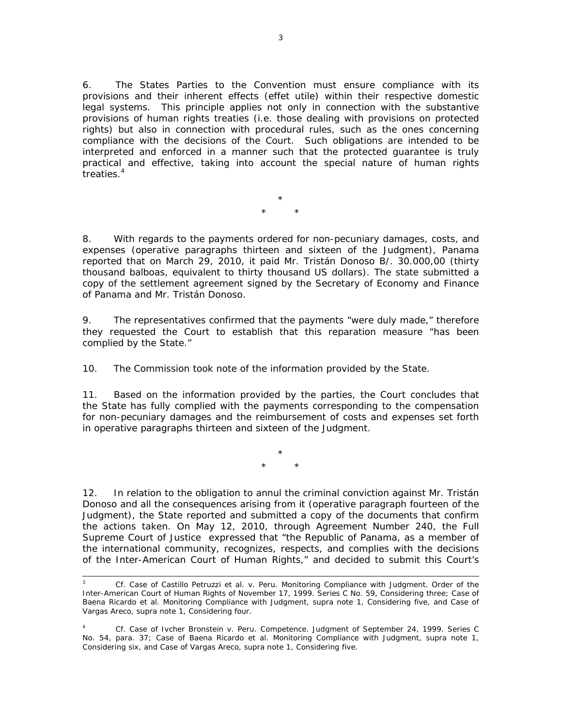6. The States Parties to the Convention must ensure compliance with its provisions and their inherent effects (*effet utile*) within their respective domestic legal systems. This principle applies not only in connection with the substantive provisions of human rights treaties (*i.e.* those dealing with provisions on protected rights) but also in connection with procedural rules, such as the ones concerning compliance with the decisions of the Court. Such obligations are intended to be interpreted and enforced in a manner such that the protected guarantee is truly practical and effective, taking into account the special nature of human rights treaties.4

> \* \* \*

8. With regards to the payments ordered for non-pecuniary damages, costs, and expenses *(operative paragraphs thirteen and sixteen of the Judgment*), Panama reported that on March 29, 2010, it paid Mr. Tristán Donoso B/. 30.000,00 (thirty thousand balboas, equivalent to thirty thousand US dollars). The state submitted a copy of the settlement agreement signed by the Secretary of Economy and Finance of Panama and Mr. Tristán Donoso.

9. The representatives confirmed that the payments "were duly made," therefore they requested the Court to establish that this reparation measure "has been complied by the State."

10. The Commission took note of the information provided by the State.

11. Based on the information provided by the parties, the Court concludes that the State has fully complied with the payments corresponding to the compensation for non-pecuniary damages and the reimbursement of costs and expenses set forth in operative paragraphs thirteen and sixteen of the Judgment.

> \* \* \*

12. In relation to the obligation to annul the criminal conviction against Mr. Tristán Donoso and all the consequences arising from it *(operative paragraph fourteen of the Judgment)*, the State reported and submitted a copy of the documents that confirm the actions taken. On May 12, 2010, through Agreement Number 240, the Full Supreme Court of Justice expressed that "the Republic of Panama, as a member of the international community, recognizes, respects, and complies with the decisions of the Inter-American Court of Human Rights," and decided to submit this Court's

 <sup>3</sup> *Cf. Case of Castillo Petruzzi et al. v. Peru. Monitoring Compliance with Judgment.* Order of the Inter-American Court of Human Rights of November 17, 1999. Series C No. 59, Considering three; *Case of Baena Ricardo et al*. *Monitoring Compliance with Judgment*, *supra* note 1, Considering five, and *Case of Vargas Areco*, *supra* note 1, Considering four.

<sup>4</sup> *Cf. Case of Ivcher Bronstein v. Peru. Competence.* Judgment of September 24, 1999. Series C No. 54, para. 37; *Case of Baena Ricardo et al*. *Monitoring Compliance with Judgment*, *supra* note 1, Considering six, and *Case of Vargas Areco*, *supra* note 1, Considering five.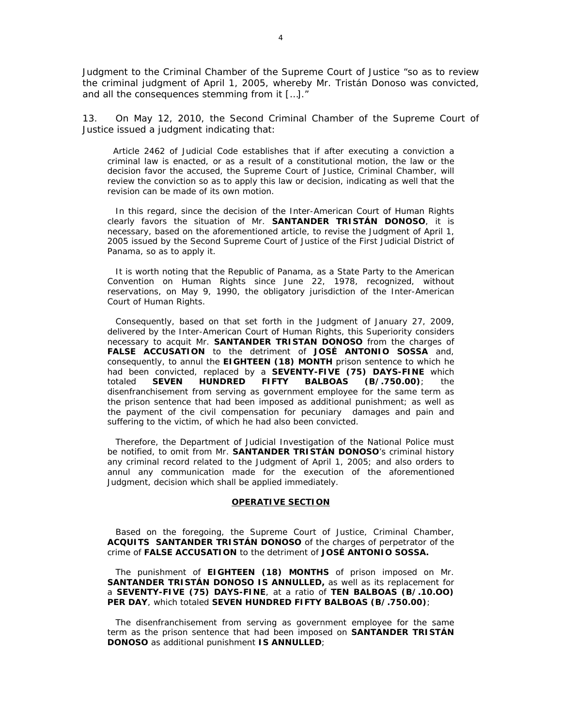Judgment to the Criminal Chamber of the Supreme Court of Justice "so as to review the criminal judgment of April 1, 2005, whereby Mr. Tristán Donoso was convicted, and all the consequences stemming from it […]."

13. On May 12, 2010, the Second Criminal Chamber of the Supreme Court of Justice issued a judgment indicating that:

 Article 2462 of Judicial Code establishes that if after executing a conviction a criminal law is enacted, or as a result of a constitutional motion, the law or the decision favor the accused, the Supreme Court of Justice, Criminal Chamber, will review the conviction so as to apply this law or *decision*, indicating as well that the revision can be made of its own motion.

In this regard, since the decision of the Inter-American Court of Human Rights clearly favors the situation of Mr. **SANTANDER TRISTÁN DONOSO**, it is necessary, based on the aforementioned article, to revise the Judgment of April 1, 2005 issued by the Second Supreme Court of Justice of the First Judicial District of Panama, so as to apply it.

It is worth noting that the Republic of Panama, as a State Party to the American Convention on Human Rights since June 22, 1978, recognized, without reservations, on May 9, 1990, the obligatory jurisdiction of the Inter-American Court of Human Rights.

Consequently, based on that set forth in the Judgment of January 27, 2009, delivered by the Inter-American Court of Human Rights, this Superiority considers necessary to acquit Mr. **SANTANDER TRISTAN DONOSO** from the charges of **FALSE ACCUSATION** to the detriment of **JOSÉ ANTONIO SOSSA** and, consequently, to annul the **EIGHTEEN (18) MONTH** prison sentence to which he had been convicted, replaced by a **SEVENTY-FIVE (75) DAYS-FINE** which totaled **SEVEN HUNDRED FIFTY BALBOAS (B/.750.00)**; the disenfranchisement from serving as government employee for the same term as the prison sentence that had been imposed as additional punishment; as well as the payment of the civil compensation for pecuniary damages and pain and suffering to the victim, of which he had also been convicted.

Therefore, the Department of Judicial Investigation of the National Police must be notified, to omit from Mr. **SANTANDER TRISTÁN DONOSO**'s criminal history any criminal record related to the Judgment of April 1, 2005; and also orders to annul any communication made for the execution of the aforementioned Judgment, decision which shall be applied immediately.

#### **OPERATIVE SECTION**

Based on the foregoing, the Supreme Court of Justice, Criminal Chamber, **ACQUITS SANTANDER TRISTÁN DONOSO** of the charges of perpetrator of the crime of **FALSE ACCUSATION** to the detriment of **JOSÉ ANTONIO SOSSA.**

The punishment of **EIGHTEEN (18) MONTHS** of prison imposed on Mr. **SANTANDER TRISTÁN DONOSO IS ANNULLED,** as well as its replacement for a **SEVENTY-FIVE (75) DAYS-FINE**, at a ratio of **TEN BALBOAS (B/.10.OO) PER DAY**, which totaled **SEVEN HUNDRED FIFTY BALBOAS (B/.750.00)**;

The disenfranchisement from serving as government employee for the same term as the prison sentence that had been imposed on **SANTANDER TRISTÁN DONOSO** as additional punishment **IS ANNULLED**;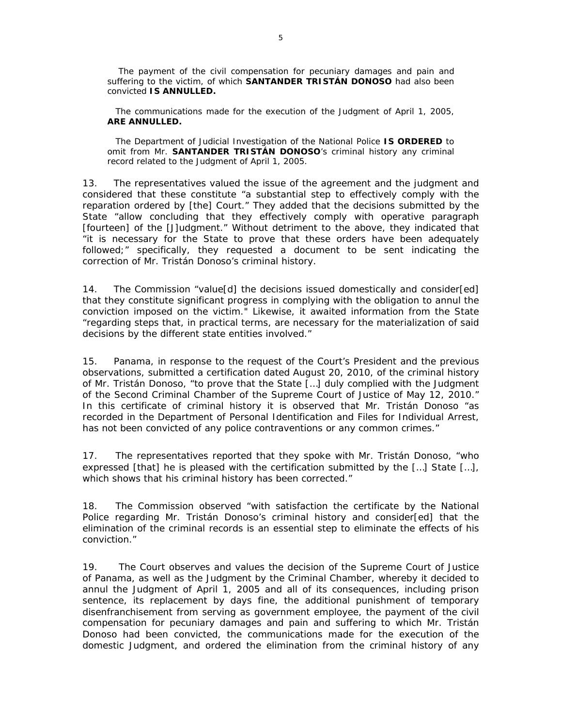The payment of the civil compensation for pecuniary damages and pain and suffering to the victim, of which **SANTANDER TRISTÁN DONOSO** had also been convicted **IS ANNULLED.**

The communications made for the execution of the Judgment of April 1, 2005, **ARE ANNULLED.**

The Department of Judicial Investigation of the National Police **IS ORDERED** to omit from Mr. **SANTANDER TRISTÁN DONOSO**'s criminal history any criminal record related to the Judgment of April 1, 2005.

13. The representatives valued the issue of the agreement and the judgment and considered that these constitute "a substantial step to effectively comply with the reparation ordered by [the] Court." They added that the decisions submitted by the State "allow concluding that they effectively comply with operative paragraph [fourteen] of the [J]udgment." Without detriment to the above, they indicated that "it is necessary for the State to prove that these orders have been adequately followed;" specifically, they requested a document to be sent indicating the correction of Mr. Tristán Donoso's criminal history.

14. The Commission "value[d] the decisions issued domestically and consider[ed] that they constitute significant progress in complying with the obligation to annul the conviction imposed on the victim." Likewise, it awaited information from the State "regarding steps that, in practical terms, are necessary for the materialization of said decisions by the different state entities involved."

15. Panama, in response to the request of the Court's President and the previous observations, submitted a certification dated August 20, 2010, of the criminal history of Mr. Tristán Donoso, "to prove that the State […] duly complied with the Judgment of the Second Criminal Chamber of the Supreme Court of Justice of May 12, 2010." In this certificate of criminal history it is observed that Mr. Tristán Donoso "as recorded in the Department of Personal Identification and Files for Individual Arrest, has not been convicted of any police contraventions or any common crimes."

17. The representatives reported that they spoke with Mr. Tristán Donoso, "who expressed [that] he is pleased with the certification submitted by the […] State […], which shows that his criminal history has been corrected."

18. The Commission observed "with satisfaction the certificate by the National Police regarding Mr. Tristán Donoso's criminal history and consider[ed] that the elimination of the criminal records is an essential step to eliminate the effects of his conviction."

19. The Court observes and values the decision of the Supreme Court of Justice of Panama, as well as the Judgment by the Criminal Chamber, whereby it decided to annul the Judgment of April 1, 2005 and all of its consequences, including prison sentence, its replacement by days fine, the additional punishment of temporary disenfranchisement from serving as government employee, the payment of the civil compensation for pecuniary damages and pain and suffering to which Mr. Tristán Donoso had been convicted, the communications made for the execution of the domestic Judgment, and ordered the elimination from the criminal history of any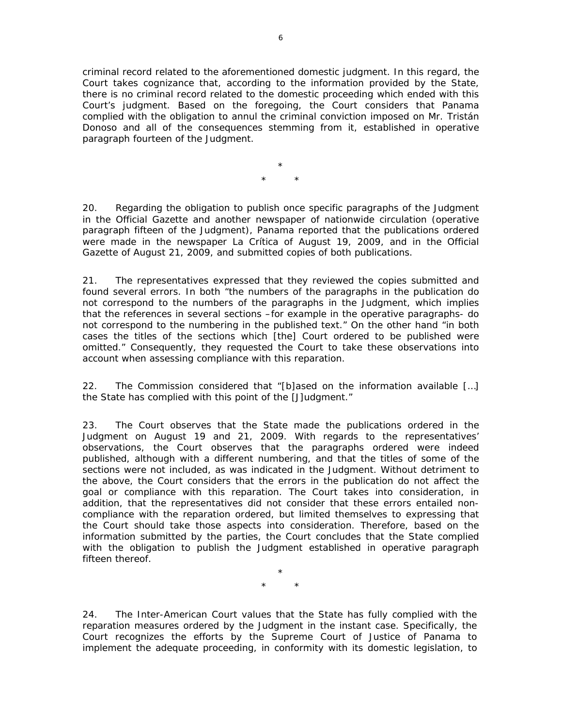criminal record related to the aforementioned domestic judgment. In this regard, the Court takes cognizance that, according to the information provided by the State, there is no criminal record related to the domestic proceeding which ended with this Court's judgment. Based on the foregoing, the Court considers that Panama complied with the obligation to annul the criminal conviction imposed on Mr. Tristán Donoso and all of the consequences stemming from it, established in operative paragraph fourteen of the Judgment.

> \* \* \*

20. Regarding the obligation to publish once specific paragraphs of the Judgment in the Official Gazette and another newspaper of nationwide circulation *(operative paragraph fifteen of the Judgment)*, Panama reported that the publications ordered were made in the newspaper La Crítica of August 19, 2009, and in the Official Gazette of August 21, 2009, and submitted copies of both publications.

21. The representatives expressed that they reviewed the copies submitted and found several errors. In both "the numbers of the paragraphs in the publication do not correspond to the numbers of the paragraphs in the Judgment, which implies that the references in several sections –for example in the operative paragraphs- do not correspond to the numbering in the published text." On the other hand "in both cases the titles of the sections which [the] Court ordered to be published were omitted." Consequently, they requested the Court to take these observations into account when assessing compliance with this reparation.

22. The Commission considered that "[b]ased on the information available […] the State has complied with this point of the [J]udgment."

23. The Court observes that the State made the publications ordered in the Judgment on August 19 and 21, 2009. With regards to the representatives' observations, the Court observes that the paragraphs ordered were indeed published, although with a different numbering, and that the titles of some of the sections were not included, as was indicated in the Judgment. Without detriment to the above, the Court considers that the errors in the publication do not affect the goal or compliance with this reparation. The Court takes into consideration, in addition, that the representatives did not consider that these errors entailed noncompliance with the reparation ordered, but limited themselves to expressing that the Court should take those aspects into consideration. Therefore, based on the information submitted by the parties, the Court concludes that the State complied with the obligation to publish the Judgment established in operative paragraph fifteen thereof.

> \* \* \*

24. The Inter-American Court values that the State has fully complied with the reparation measures ordered by the Judgment in the instant case. Specifically, the Court recognizes the efforts by the Supreme Court of Justice of Panama to implement the adequate proceeding, in conformity with its domestic legislation, to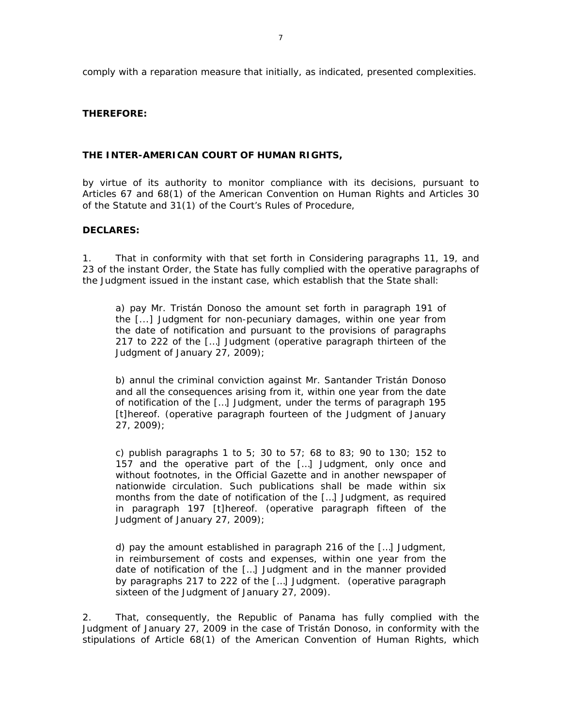comply with a reparation measure that initially, as indicated, presented complexities.

# **THEREFORE:**

## **THE INTER-AMERICAN COURT OF HUMAN RIGHTS,**

by virtue of its authority to monitor compliance with its decisions, pursuant to Articles 67 and 68(1) of the American Convention on Human Rights and Articles 30 of the Statute and 31(1) of the Court's Rules of Procedure,

## **DECLARES:**

1. That in conformity with that set forth in Considering paragraphs 11, 19, and 23 of the instant Order, the State has fully complied with the operative paragraphs of the Judgment issued in the instant case, which establish that the State shall:

a) pay Mr. Tristán Donoso the amount set forth in paragraph 191 of the [...] Judgment for non-pecuniary damages, within one year from the date of notification and pursuant to the provisions of paragraphs 217 to 222 of the […] Judgment (*operative paragraph thirteen of the Judgment of January 27, 2009*);

b) annul the criminal conviction against Mr. Santander Tristán Donoso and all the consequences arising from it, within one year from the date of notification of the […] Judgment, under the terms of paragraph 195 [t]hereof. (*operative paragraph fourteen of the Judgment of January 27, 2009*);

c) publish paragraphs 1 to 5; 30 to 57; 68 to 83; 90 to 130; 152 to 157 and the operative part of the […] Judgment, only once and without footnotes, in the Official Gazette and in another newspaper of nationwide circulation. Such publications shall be made within six months from the date of notification of the […] Judgment, as required in paragraph 197 [t]hereof. (*operative paragraph fifteen of the Judgment of January 27, 2009*);

d) pay the amount established in paragraph 216 of the […] Judgment, in reimbursement of costs and expenses, within one year from the date of notification of the […] Judgment and in the manner provided by paragraphs 217 to 222 of the […] Judgment. (*operative paragraph sixteen of the Judgment of January 27, 2009*).

2. That, consequently, the Republic of Panama has fully complied with the Judgment of January 27, 2009 in the case of Tristán Donoso, in conformity with the stipulations of Article 68(1) of the American Convention of Human Rights, which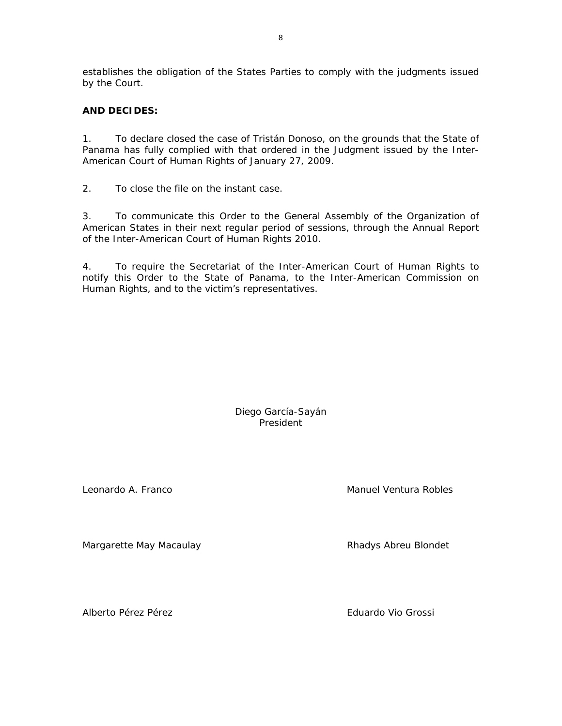establishes the obligation of the States Parties to comply with the judgments issued by the Court.

# **AND DECIDES:**

1. To declare closed the case of Tristán Donoso, on the grounds that the State of Panama has fully complied with that ordered in the Judgment issued by the Inter-American Court of Human Rights of January 27, 2009.

2. To close the file on the instant case.

3. To communicate this Order to the General Assembly of the Organization of American States in their next regular period of sessions, through the Annual Report of the Inter-American Court of Human Rights 2010.

4. To require the Secretariat of the Inter-American Court of Human Rights to notify this Order to the State of Panama, to the Inter-American Commission on Human Rights, and to the victim's representatives.

> Diego García-Sayán President

Margarette May Macaulay **Rhadys Abreu Blondet** 

Alberto Pérez Pérez Eduardo Vio Grossi

Leonardo A. Franco **Manuel Ventura Robles** Manuel Ventura Robles